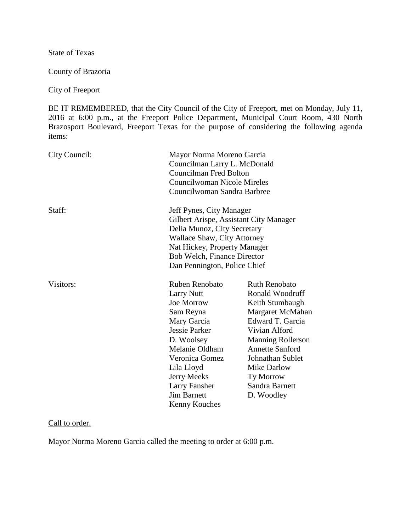State of Texas

County of Brazoria

City of Freeport

BE IT REMEMBERED, that the City Council of the City of Freeport, met on Monday, July 11, 2016 at 6:00 p.m., at the Freeport Police Department, Municipal Court Room, 430 North Brazosport Boulevard, Freeport Texas for the purpose of considering the following agenda items:

| City Council: | Mayor Norma Moreno Garcia<br>Councilman Larry L. McDonald<br><b>Councilman Fred Bolton</b><br>Councilwoman Nicole Mireles<br>Councilwoman Sandra Barbree                                                                                     |                                                                                                                                                                                                                                                                  |
|---------------|----------------------------------------------------------------------------------------------------------------------------------------------------------------------------------------------------------------------------------------------|------------------------------------------------------------------------------------------------------------------------------------------------------------------------------------------------------------------------------------------------------------------|
| Staff:        | Jeff Pynes, City Manager<br>Gilbert Arispe, Assistant City Manager<br>Delia Munoz, City Secretary<br><b>Wallace Shaw, City Attorney</b><br>Nat Hickey, Property Manager<br>Bob Welch, Finance Director<br>Dan Pennington, Police Chief       |                                                                                                                                                                                                                                                                  |
| Visitors:     | Ruben Renobato<br><b>Larry Nutt</b><br>Joe Morrow<br>Sam Reyna<br>Mary Garcia<br>Jessie Parker<br>D. Woolsey<br>Melanie Oldham<br>Veronica Gomez<br>Lila Lloyd<br><b>Jerry Meeks</b><br>Larry Fansher<br><b>Jim Barnett</b><br>Kenny Kouches | <b>Ruth Renobato</b><br>Ronald Woodruff<br>Keith Stumbaugh<br>Margaret McMahan<br>Edward T. Garcia<br>Vivian Alford<br><b>Manning Rollerson</b><br><b>Annette Sanford</b><br>Johnathan Sublet<br><b>Mike Darlow</b><br>Ty Morrow<br>Sandra Barnett<br>D. Woodley |

### Call to order.

Mayor Norma Moreno Garcia called the meeting to order at 6:00 p.m.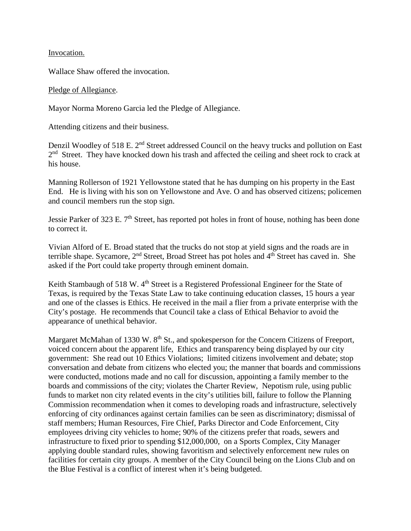Invocation.

Wallace Shaw offered the invocation.

#### Pledge of Allegiance.

Mayor Norma Moreno Garcia led the Pledge of Allegiance.

Attending citizens and their business.

Denzil Woodley of 518 E. 2<sup>nd</sup> Street addressed Council on the heavy trucks and pollution on East  $2<sup>nd</sup>$  Street. They have knocked down his trash and affected the ceiling and sheet rock to crack at his house.

Manning Rollerson of 1921 Yellowstone stated that he has dumping on his property in the East End. He is living with his son on Yellowstone and Ave. O and has observed citizens; policemen and council members run the stop sign.

Jessie Parker of 323 E. 7<sup>th</sup> Street, has reported pot holes in front of house, nothing has been done to correct it.

Vivian Alford of E. Broad stated that the trucks do not stop at yield signs and the roads are in terrible shape. Sycamore, 2<sup>nd</sup> Street, Broad Street has pot holes and 4<sup>th</sup> Street has caved in. She asked if the Port could take property through eminent domain.

Keith Stambaugh of 518 W. 4<sup>th</sup> Street is a Registered Professional Engineer for the State of Texas, is required by the Texas State Law to take continuing education classes, 15 hours a year and one of the classes is Ethics. He received in the mail a flier from a private enterprise with the City's postage. He recommends that Council take a class of Ethical Behavior to avoid the appearance of unethical behavior.

Margaret McMahan of 1330 W. 8<sup>th</sup> St., and spokesperson for the Concern Citizens of Freeport, voiced concern about the apparent life, Ethics and transparency being displayed by our city government: She read out 10 Ethics Violations; limited citizens involvement and debate; stop conversation and debate from citizens who elected you; the manner that boards and commissions were conducted, motions made and no call for discussion, appointing a family member to the boards and commissions of the city; violates the Charter Review, Nepotism rule, using public funds to market non city related events in the city's utilities bill, failure to follow the Planning Commission recommendation when it comes to developing roads and infrastructure, selectively enforcing of city ordinances against certain families can be seen as discriminatory; dismissal of staff members; Human Resources, Fire Chief, Parks Director and Code Enforcement, City employees driving city vehicles to home; 90% of the citizens prefer that roads, sewers and infrastructure to fixed prior to spending \$12,000,000, on a Sports Complex, City Manager applying double standard rules, showing favoritism and selectively enforcement new rules on facilities for certain city groups. A member of the City Council being on the Lions Club and on the Blue Festival is a conflict of interest when it's being budgeted.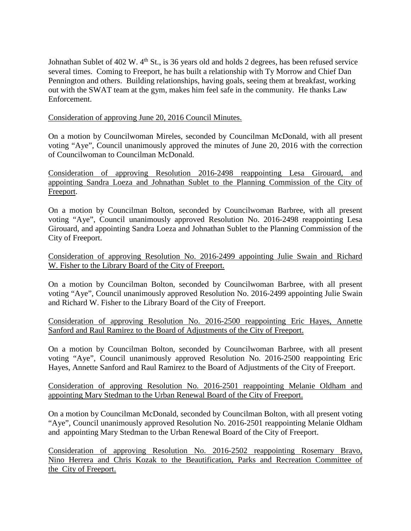Johnathan Sublet of  $402 \text{ W}$ .  $4^{\text{th}}$  St., is 36 years old and holds 2 degrees, has been refused service several times. Coming to Freeport, he has built a relationship with Ty Morrow and Chief Dan Pennington and others. Building relationships, having goals, seeing them at breakfast, working out with the SWAT team at the gym, makes him feel safe in the community. He thanks Law Enforcement.

Consideration of approving June 20, 2016 Council Minutes.

On a motion by Councilwoman Mireles, seconded by Councilman McDonald, with all present voting "Aye", Council unanimously approved the minutes of June 20, 2016 with the correction of Councilwoman to Councilman McDonald.

Consideration of approving Resolution 2016-2498 reappointing Lesa Girouard, and appointing Sandra Loeza and Johnathan Sublet to the Planning Commission of the City of Freeport.

On a motion by Councilman Bolton, seconded by Councilwoman Barbree, with all present voting "Aye", Council unanimously approved Resolution No. 2016-2498 reappointing Lesa Girouard, and appointing Sandra Loeza and Johnathan Sublet to the Planning Commission of the City of Freeport.

Consideration of approving Resolution No. 2016-2499 appointing Julie Swain and Richard W. Fisher to the Library Board of the City of Freeport.

On a motion by Councilman Bolton, seconded by Councilwoman Barbree, with all present voting "Aye", Council unanimously approved Resolution No. 2016-2499 appointing Julie Swain and Richard W. Fisher to the Library Board of the City of Freeport.

Consideration of approving Resolution No. 2016-2500 reappointing Eric Hayes, Annette Sanford and Raul Ramirez to the Board of Adjustments of the City of Freeport.

On a motion by Councilman Bolton, seconded by Councilwoman Barbree, with all present voting "Aye", Council unanimously approved Resolution No. 2016-2500 reappointing Eric Hayes, Annette Sanford and Raul Ramirez to the Board of Adjustments of the City of Freeport.

Consideration of approving Resolution No. 2016-2501 reappointing Melanie Oldham and appointing Mary Stedman to the Urban Renewal Board of the City of Freeport.

On a motion by Councilman McDonald, seconded by Councilman Bolton, with all present voting "Aye", Council unanimously approved Resolution No. 2016-2501 reappointing Melanie Oldham and appointing Mary Stedman to the Urban Renewal Board of the City of Freeport.

Consideration of approving Resolution No. 2016-2502 reappointing Rosemary Bravo, Nino Herrera and Chris Kozak to the Beautification, Parks and Recreation Committee of the City of Freeport.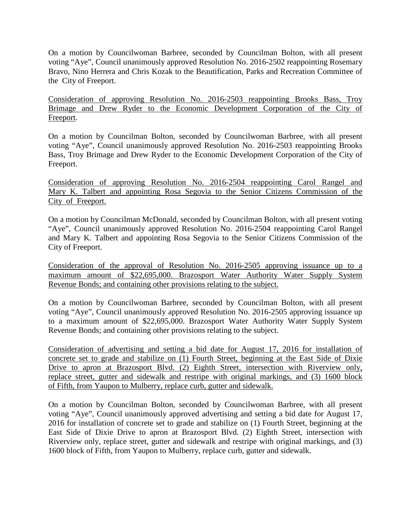On a motion by Councilwoman Barbree, seconded by Councilman Bolton, with all present voting "Aye", Council unanimously approved Resolution No. 2016-2502 reappointing Rosemary Bravo, Nino Herrera and Chris Kozak to the Beautification, Parks and Recreation Committee of the City of Freeport.

Consideration of approving Resolution No. 2016-2503 reappointing Brooks Bass, Troy Brimage and Drew Ryder to the Economic Development Corporation of the City of Freeport.

On a motion by Councilman Bolton, seconded by Councilwoman Barbree, with all present voting "Aye", Council unanimously approved Resolution No. 2016-2503 reappointing Brooks Bass, Troy Brimage and Drew Ryder to the Economic Development Corporation of the City of Freeport.

Consideration of approving Resolution No. 2016-2504 reappointing Carol Rangel and Mary K. Talbert and appointing Rosa Segovia to the Senior Citizens Commission of the City of Freeport.

On a motion by Councilman McDonald, seconded by Councilman Bolton, with all present voting "Aye", Council unanimously approved Resolution No. 2016-2504 reappointing Carol Rangel and Mary K. Talbert and appointing Rosa Segovia to the Senior Citizens Commission of the City of Freeport.

Consideration of the approval of Resolution No. 2016-2505 approving issuance up to a maximum amount of \$22,695,000. Brazosport Water Authority Water Supply System Revenue Bonds; and containing other provisions relating to the subject.

On a motion by Councilwoman Barbree, seconded by Councilman Bolton, with all present voting "Aye", Council unanimously approved Resolution No. 2016-2505 approving issuance up to a maximum amount of \$22,695,000. Brazosport Water Authority Water Supply System Revenue Bonds; and containing other provisions relating to the subject.

Consideration of advertising and setting a bid date for August 17, 2016 for installation of concrete set to grade and stabilize on (1) Fourth Street, beginning at the East Side of Dixie Drive to apron at Brazosport Blvd. (2) Eighth Street, intersection with Riverview only, replace street, gutter and sidewalk and restripe with original markings, and (3) 1600 block of Fifth, from Yaupon to Mulberry, replace curb, gutter and sidewalk.

On a motion by Councilman Bolton, seconded by Councilwoman Barbree, with all present voting "Aye", Council unanimously approved advertising and setting a bid date for August 17, 2016 for installation of concrete set to grade and stabilize on (1) Fourth Street, beginning at the East Side of Dixie Drive to apron at Brazosport Blvd. (2) Eighth Street, intersection with Riverview only, replace street, gutter and sidewalk and restripe with original markings, and (3) 1600 block of Fifth, from Yaupon to Mulberry, replace curb, gutter and sidewalk.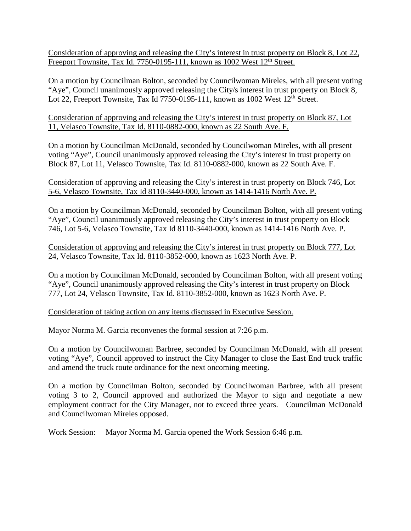Consideration of approving and releasing the City's interest in trust property on Block 8, Lot 22, Freeport Townsite, Tax Id. 7750-0195-111, known as 1002 West  $12^{th}$  Street.

On a motion by Councilman Bolton, seconded by Councilwoman Mireles, with all present voting "Aye", Council unanimously approved releasing the City/s interest in trust property on Block 8, Lot 22, Freeport Townsite, Tax Id  $7750-0195-111$ , known as  $1002$  West  $12<sup>th</sup>$  Street.

Consideration of approving and releasing the City's interest in trust property on Block 87, Lot 11, Velasco Townsite, Tax Id. 8110-0882-000, known as 22 South Ave. F.

On a motion by Councilman McDonald, seconded by Councilwoman Mireles, with all present voting "Aye", Council unanimously approved releasing the City's interest in trust property on Block 87, Lot 11, Velasco Townsite, Tax Id. 8110-0882-000, known as 22 South Ave. F.

# Consideration of approving and releasing the City's interest in trust property on Block 746, Lot 5-6, Velasco Townsite, Tax Id 8110-3440-000, known as 1414-1416 North Ave. P.

On a motion by Councilman McDonald, seconded by Councilman Bolton, with all present voting "Aye", Council unanimously approved releasing the City's interest in trust property on Block 746, Lot 5-6, Velasco Townsite, Tax Id 8110-3440-000, known as 1414-1416 North Ave. P.

Consideration of approving and releasing the City's interest in trust property on Block 777, Lot 24, Velasco Townsite, Tax Id. 8110-3852-000, known as 1623 North Ave. P.

On a motion by Councilman McDonald, seconded by Councilman Bolton, with all present voting "Aye", Council unanimously approved releasing the City's interest in trust property on Block 777, Lot 24, Velasco Townsite, Tax Id. 8110-3852-000, known as 1623 North Ave. P.

Consideration of taking action on any items discussed in Executive Session.

Mayor Norma M. Garcia reconvenes the formal session at 7:26 p.m.

On a motion by Councilwoman Barbree, seconded by Councilman McDonald, with all present voting "Aye", Council approved to instruct the City Manager to close the East End truck traffic and amend the truck route ordinance for the next oncoming meeting.

On a motion by Councilman Bolton, seconded by Councilwoman Barbree, with all present voting 3 to 2, Council approved and authorized the Mayor to sign and negotiate a new employment contract for the City Manager, not to exceed three years. Councilman McDonald and Councilwoman Mireles opposed.

Work Session: Mayor Norma M. Garcia opened the Work Session 6:46 p.m.